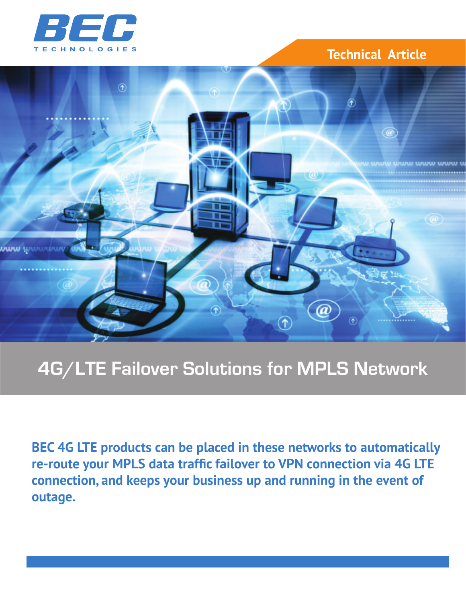

# **Technical Article**



# **4G/LTE Failover Solutions for MPLS Network**

**BEC 4G LTE products can be placed in these networks to automatically re-route your MPLS data traffic failover to VPN connection via 4G LTE connection, and keeps your business up and running in the event of outage.**